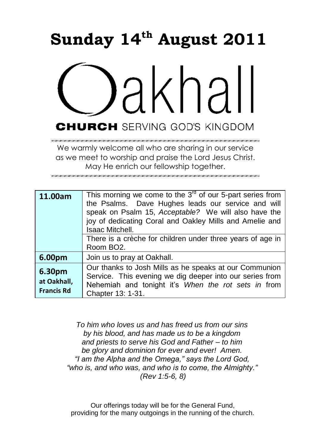# **Sunday 14th August 2011**



We warmly welcome all who are sharing in our service as we meet to worship and praise the Lord Jesus Christ. May He enrich our fellowship together.

| 11.00am                                    | This morning we come to the $3^{rd}$ of our 5-part series from<br>the Psalms. Dave Hughes leads our service and will<br>speak on Psalm 15, Acceptable? We will also have the<br>joy of dedicating Coral and Oakley Mills and Amelie and<br><b>Isaac Mitchell.</b><br>There is a crèche for children under three years of age in |
|--------------------------------------------|---------------------------------------------------------------------------------------------------------------------------------------------------------------------------------------------------------------------------------------------------------------------------------------------------------------------------------|
|                                            | Room BO <sub>2</sub> .                                                                                                                                                                                                                                                                                                          |
| 6.00pm                                     | Join us to pray at Oakhall.                                                                                                                                                                                                                                                                                                     |
| 6.30pm<br>at Oakhall,<br><b>Francis Rd</b> | Our thanks to Josh Mills as he speaks at our Communion<br>Service. This evening we dig deeper into our series from<br>Nehemiah and tonight it's When the rot sets in from<br>Chapter 13: 1-31.                                                                                                                                  |

*To him who loves us and has freed us from our sins by his blood, and has made us to be a kingdom and priests to serve his God and Father – to him be glory and dominion for ever and ever! Amen. "I am the Alpha and the Omega," says the Lord God, "who is, and who was, and who is to come, the Almighty." (Rev 1:5-6, 8)*

Our offerings today will be for the General Fund, providing for the many outgoings in the running of the church.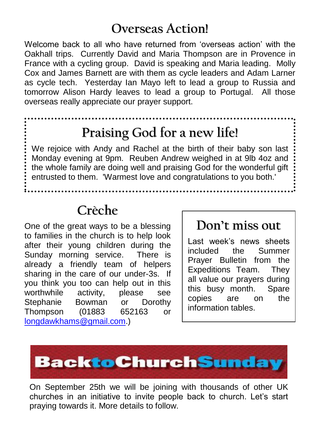### **Overseas Action!**

Welcome back to all who have returned from "overseas action" with the Oakhall trips. Currently David and Maria Thompson are in Provence in France with a cycling group. David is speaking and Maria leading. Molly Cox and James Barnett are with them as cycle leaders and Adam Larner as cycle tech. Yesterday Ian Mayo left to lead a group to Russia and tomorrow Alison Hardy leaves to lead a group to Portugal. All those overseas really appreciate our prayer support.

### **Praising God for a new life!**

We rejoice with Andy and Rachel at the birth of their baby son last Monday evening at 9pm. Reuben Andrew weighed in at 9lb 4oz and the whole family are doing well and praising God for the wonderful gift entrusted to them. 'Warmest love and congratulations to you both.'

### **Crèche**

One of the great ways to be a blessing to families in the church is to help look after their young children during the Sunday morning service. There is already a friendly team of helpers sharing in the care of our under-3s. If you think you too can help out in this worthwhile activity, please see Stephanie Bowman or Dorothy Thompson (01883 652163 or [longdawkhams@gmail.com.](mailto:longdawkhams@gmail.com))

#### **Don't miss out**

Last week"s news sheets included the Summer Prayer Bulletin from the Expeditions Team. They all value our prayers during this busy month. Spare copies are on the information tables.



On September 25th we will be joining with thousands of other UK churches in an initiative to invite people back to church. Let"s start praying towards it. More details to follow.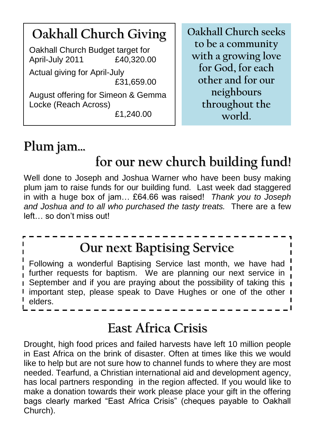### **Oakhall Church Giving** Oakhall Church Budget target for April-July 2011 £40,320.00 Actual giving for April-July

£31,659.00

August offering for Simeon & Gemma Locke (Reach Across)

£1,240.00

**Oakhall Church seeks to be a community with a growing love for God, for each other and for our neighbours throughout the world.**

# **Plum jam…**

# **for our new church building fund!**

 plum jam to raise funds for our building fund. Last week dad staggered Well done to Joseph and Joshua Warner who have been busy making in with a huge box of jam… £64.66 was raised! *Thank you to Joseph and Joshua and to all who purchased the tasty treats.* There are a few left… so don"t miss out!

## **Our next Baptising Service**

Following a wonderful Baptising Service last month, we have had ! further requests for baptism. We are planning our next service in September and if you are praying about the possibility of taking this i important step, please speak to Dave Hughes or one of the other I elders.

### **East Africa Crisis**

Drought, high food prices and failed harvests have left 10 million people in East Africa on the brink of disaster. Often at times like this we would like to help but are not sure how to channel funds to where they are most needed. Tearfund, a Christian international aid and development agency, has local partners responding in the region affected. If you would like to make a donation towards their work please place your gift in the offering bags clearly marked "East Africa Crisis" (cheques payable to Oakhall Church).